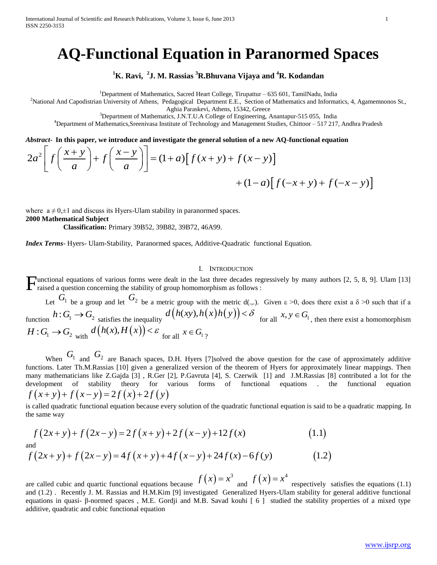International Journal of Scientific and Research Publications, Volume 3, Issue 6, June 2013 1 ISSN 2250-3153

# **AQ-Functional Equation in Paranormed Spaces**

**<sup>1</sup>K. Ravi, <sup>2</sup> J. M. Rassias <sup>3</sup>R.Bhuvana Vijaya and <sup>4</sup>R. Kodandan** 

<sup>1</sup>Department of Mathematics, Sacred Heart College, Tirupattur – 635 601, TamilNadu, India

<sup>2</sup>National And Capodistrian University of Athens, Pedagogical Department E.E., Section of Mathematics and Informatics, 4, Agamemnonos St.,

Aghia Paraskevi, Athens, 15342, Greece

<sup>3</sup>Department of Mathematics, J.N.T.U.A College of Engineering, Anantapur-515 055, India

<sup>4</sup>Department of Mathematics, Sreenivasa Institute of Technology and Management Studies, Chittoor  $-517$  217, Andhra Pradesh

*Abstract***- In this paper, we introduce and investigate the general solution of a new AQ-functional equation** 

$$
2a^{2}\left[f\left(\frac{x+y}{a}\right)+f\left(\frac{x-y}{a}\right)\right]=\left(1+a\right)\left[f\left(x+y\right)+f\left(-x-y\right)\right]
$$

where  $a \neq 0,\pm 1$  and discuss its Hyers-Ulam stability in paranormed spaces. **2000 Mathematical Subject** 

 **Classification:** Primary 39B52, 39B82, 39B72, 46A99.

*Index Terms*- Hyers- Ulam-Stability, Paranormed spaces, Additive-Quadratic functional Equation.

#### I. INTRODUCTION

unctional equations of various forms were dealt in the last three decades regressively by many authors [2, 5, 8, 9]. Ulam [13]  $\Gamma$  unctional equations of various forms were dealt in the last three decades regraised a question concerning the stability of group homomorphism as follows :

Let  $\frac{1}{2}$  be a group and let  $\frac{1}{2}$  be a metric group with the metric d(.,.). Given  $\varepsilon > 0$ , does there exist a  $\delta > 0$  such that if a  $G_1$  be a group and let  $G_2$ Function  $h: G_1 \to G_2$  satisfies the inequality  $d(h(xy), h(x)h(y)) < \delta$  for all  $x, y \in G_1$ , then there exist a homomorphism  $H: G_1 \to G_2$  with  $d(h(x), H(x)) < \varepsilon$  for all  $x \in G_1$ ?

When  $G_1$  and  $G_2$  are Banach spaces, D.H. Hyers [7] solved the above question for the case of approximately additive functions. Later Th.M.Rassias [10] given a generalized version of the theorem of Hyers for approximately linear mappings. Then many mathematicians like Z.Gajda [3] , R.Ger [2], P.Gavruta [4], S. Czerwik [1] and J.M.Rassias [8] contributed a lot for the development of stability theory for various forms of functional equations . the functional equation  $f(x+y)+f(x-y)=2f(x)+2f(y)$ 

is called quadratic functional equation because every solution of the quadratic functional equation is said to be a quadratic mapping. In the same way

$$
f(x+y)+f(x-y)=2f(x)+2f(y)
$$
  
is called quadratic functional equation because every solution of the quadratic functional equation is said to  
the same way  

$$
f(2x+y)+f(2x-y)=2f(x+y)+2f(x-y)+12f(x)
$$
(1.1)  
and  

$$
f(2x+y)+f(2x-y)=4f(x+y)+4f(x-y)+24f(x)-6f(y)
$$
(1.2)

are called cubic and quartic functional equations because  $f(x) = x^3$  and  $f(x) = x^4$  respectively satisfies the equations (1.1) and (1.2) . Recently J. M. Rassias and H.M.Kim [9] investigated Generalized Hyers-Ulam stability for general additive functional equations in quasi- β-normed spaces , M.E. Gordji and M.B. Savad kouhi [ 6 ] studied the stability properties of a mixed type additive, quadratic and cubic functional equation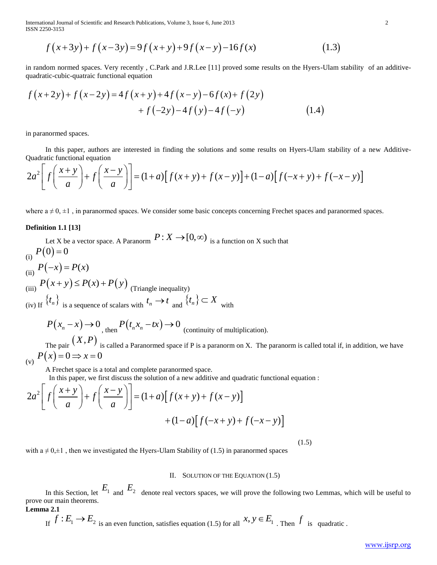International Journal of Scientific and Research Publications, Volume 3, Issue 6, June 2013 2 ISSN 2250-3153

tional Journal of Scientific and Research Publications, Volume 3, Issue 6, June 2013  
\n
$$
f(x+3y) + f(x-3y) = 9f(x+y) + 9f(x-y) - 16f(x)
$$
\n(1.3)

in random normed spaces. Very recently , C.Park and J.R.Lee [11] proved some results on the Hyers-Ulam stability of an additivequadratic-cubic-quatraic functional equation

in random normed spaces. Very recently, C.Park and J.R. Lee [11] proved some results on the Hvers-I  
quadratic-cubic-quadratic functional equation  

$$
f(x+2y)+f(x-2y)=4f(x+y)+4f(x-y)-6f(x)+f(2y) +f(-2y)-4f(y)-4f(-y)
$$
(1.4)

in paranormed spaces.

 In this paper, authors are interested in finding the solutions and some results on Hyers-Ulam stability of a new Additive-Quadratic functional equation

in parameter space. In this paper, authors are interested in finding the solutions and some results on Hyers-Ulam stability of a new Additive Quadratic functional equation\n
$$
2a^2 \left[ f\left(\frac{x+y}{a}\right) + f\left(\frac{x-y}{a}\right) \right] = (1+a) \left[ f(x+y) + f(x-y) \right] + (1-a) \left[ f(-x+y) + f(-x-y) \right]
$$

where  $a \neq 0, \pm 1$ , in paranormed spaces. We consider some basic concepts concerning Frechet spaces and paranormed spaces.

#### **Definition 1.1 [13]**

Let X be a vector space. A Paranorm  $P: X \to [0, \infty)$  is a function on X such that (i)  $P(0)=0$ (ii)  $P(-x) = P(x)$ (iii)  $P(x+y) \le P(x) + P(y)$  (Triangle inequality) (iv) If  $\{t_n\}$  is a sequence of scalars with  $t_n \to t$  and  $\{t_n\} \subset X$  with

$$
P(x_n - x) \to 0
$$
, then 
$$
P(t_n x_n - tx) \to 0
$$
 (continuity of multiplication).

The pair  $(X, P)$  is called a Paranormed space if P is a paranorm on X. The paranorm is called total if, in addition, we have (v)  $P(x)=0 \Rightarrow x=0$ 

A Frechet space is a total and complete paranormed space.

In this paper, we first discuss the solution of a new additive and quadratic functional equation :

(v) 
$$
P(x) = 0 \Rightarrow x = 0
$$
  
\nA Frechet space is a total and complete parameter, and quadratic functional equation  
\n
$$
2a^2 \left[ f\left(\frac{x+y}{a}\right) + f\left(\frac{x-y}{a}\right) \right] = (1+a) \left[ f(x+y) + f(x-y) \right]
$$
\n
$$
+ (1-a) \left[ f(-x+y) + f(-x-y) \right]
$$

(1.5)

with  $a \neq 0,\pm 1$ , then we investigated the Hyers-Ulam Stability of (1.5) in paranormed spaces

## II. SOLUTION OF THE EQUATION (1.5)

In this Section, let  $E_1$  and  $E_2$  denote real vectors spaces, we will prove the following two Lemmas, which will be useful to prove our main theorems.

**Lemma 2.1**

If 
$$
f: E_1 \to E_2
$$
 is an even function, satisfies equation (1.5) for all  $x, y \in E_1$ . Then  $f$  is quadratic.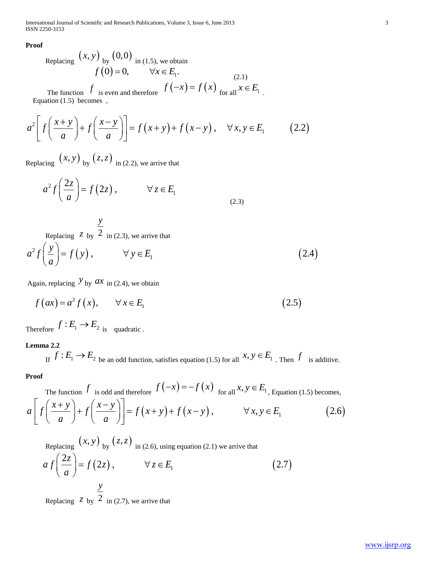International Journal of Scientific and Research Publications, Volume 3, Issue 6, June 2013 3 ISSN 2250-3153

**Proof**

Replacing 
$$
(x, y)
$$
 by  $(0, 0)$  in (1.5), we obtain  
\n $f(0) = 0,$   $\forall x \in E_1.$  (2.1)  
\n $f(-x) = f(x)$   $x \in E$ 

The function 
$$
f
$$
 is even and therefore  $f(-x) = f(x)$  for all  $x \in E_1$ .  
Equation (1.5) becomes,  

$$
a^2 \left[ f\left(\frac{x+y}{a}\right) + f\left(\frac{x-y}{a}\right) \right] = f(x+y) + f(x-y), \quad \forall x, y \in E_1
$$
(2.2)

Replacing  $(x, y)$  by  $(z, z)$  in (2.2), we arrive that

$$
a^2 f\left(\frac{2z}{a}\right) = f(2z), \qquad \forall z \in E_1
$$
\n(2.3)

 Replacing *z* by 2 *y* in (2.3), we arrive that

Replacing 2 by 
$$
\frac{y}{2}
$$
 in (2.3), we arrive that  
\n
$$
a^{2} f\left(\frac{y}{a}\right) = f(y), \qquad \forall y \in E_{1}
$$
\n(2.4)

Again, replacing  $\mathcal{Y}_{\text{by}}$  *ax* in (2.4), we obtain

gain, replacing 
$$
y
$$
 by  $ax$  in (2.4), we obtain  
\n $f(ax) = a^2 f(x), \quad \forall x \in E_1$  (2.5)

Therefore  $f: E_1 \to E_2$  is quadratic.

# **Lemma 2.2**

If  $f: E_1 \to E_2$  be an odd function, satisfies equation (1.5) for all  $x, y \in E_1$ . Then f is additive.

# **Proof**

The function  $f$  is odd and therefore  $f(-x) = -f(x)$  for all  $x, y \in E_1$ , Equation (1.5) becomes,  $(x+y)+f(x-y), \t\forall x, y \in E_1$  (2.6) Proof<br>
The function  $f$  is odd and therefore  $f(-x) = -f(x)$  for all  $x, y \in E_1$ , Equation (1.5) becomes,<br>  $a\left[f\left(\frac{x+y}{a}\right) + f\left(\frac{x-y}{a}\right)\right] = f(x+y) + f(x-y)$ ,  $\forall x, y \in E_1$  (2.6) function  $\frac{f}{a}$  is od<br>  $\frac{f}{a} + y$  +  $f\left(\frac{x-a}{a}\right)$ If  $\int$   $\int$  be an odd function, satisfies<br>
bof<br>
The function  $f$  is odd and therefore  $f(-x)$ <br>  $\int f\left(\frac{x+y}{a}\right) + f\left(\frac{x-y}{a}\right) = f(x+y) + f(x+y)$ poof<br>
The function  $f$  is odd and therefore  $f(-x) = -f(x)$  for all  $x, y \in E_1$ , Equation (1.5) bec<br>  $\left[ f\left(\frac{x+y}{a}\right) + f\left(\frac{x-y}{a}\right) \right] = f(x+y) + f(x-y)$ ,  $\forall x, y \in E_1$ The function  $f$  is odd and therefore  $f(-x)$ <br>  $\left[ f\left(\frac{x+y}{a}\right) + f\left(\frac{x-y}{a}\right) \right] = f(x+y) + f$ 

Replacing 
$$
(x, y)
$$
 by  $(z, z)$  in (2.6), using equation (2.1) we arrive that  
\n
$$
af\left(\frac{2z}{a}\right) = f(2z), \qquad \forall z \in E_1
$$
\n
$$
\frac{y}{2}
$$
\n(2.7)

Replacing  $\overline{z}$  by  $\overline{2}$  in (2.7), we arrive that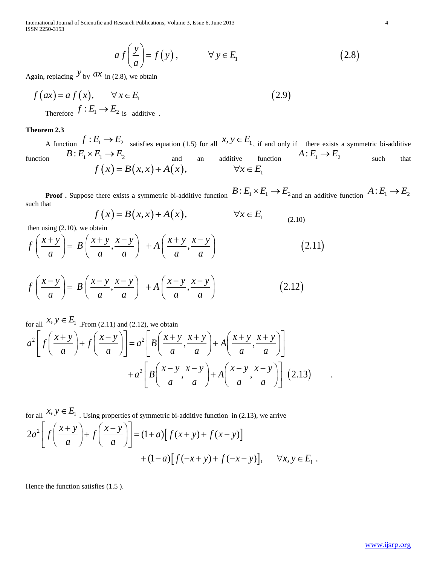International Journal of Scientific and Research Publications, Volume 3, Issue 6, June 2013 4 ISSN 2250-3153

Research Publications, Volume 3, Issue 6, June 2013  
\n
$$
af\left(\frac{y}{a}\right) = f(y), \qquad \forall y \in E_1
$$
\n(2.8)

Again, replacing  $y_{\text{by}}$  *ax* in (2.8), we obtain

Again, replacing 
$$
y
$$
 by  $ax$  in (2.8), we obtain  
\n
$$
f(ax) = af(x), \qquad \forall x \in E_1
$$
\nTherefore  $f: E_1 \rightarrow E_2$  is additive. (2.9)

## **Theorem 2.3**

A function  $f: E_1 \to E_2$  satisfies equation (1.5) for all  $x, y \in E_1$ , if and only if there exists a symmetric bi-additive function  $B: E_1 \times E_1 \to E_2$  and an additive function  $A: E_1 \to E_2$  such that  $f(x) = B(x,x) + A(x),$   $\forall x \in E_1$  $E_1 \rightarrow E_2$  satisfies equation (1.5) for all  $x, y \in E_1$ , if and only<br>  $E_1 \rightarrow E_2$  and an additive function<br>  $f(x) = B(x, x) + A(x)$ ,  $\forall x \in E_1$ 

**Proof .** Suppose there exists a symmetric bi-additive function  $B: E_1 \times E_1 \to E_2$  and an additive function  $A: E_1 \to E_2$ such that there exists a symmetric bi-additive function  $B: E_1 \times E_1 \to E_2$ <br>  $f(x) = B(x, x) + A(x)$ ,  $\forall x \in E_1$ 

$$
f(x) = B(x, x) + A(x), \qquad \forall x \in E_1 \qquad (2.10)
$$

then using (2.10), we obtain

such that  
\n
$$
f(x) = B(x,x) + A(x), \qquad \forall x \in E_1
$$
\nthen using (2.10), we obtain  
\n
$$
f\left(\frac{x+y}{a}\right) = B\left(\frac{x+y}{a}, \frac{x-y}{a}\right) + A\left(\frac{x+y}{a}, \frac{x-y}{a}\right)
$$
\n(2.11)

$$
f\left(\frac{x+y}{a}\right) = B\left(\frac{x+y}{a}, \frac{x-y}{a}\right) + A\left(\frac{x+y}{a}, \frac{x-y}{a}\right)
$$
\n
$$
f\left(\frac{x-y}{a}\right) = B\left(\frac{x-y}{a}, \frac{x-y}{a}\right) + A\left(\frac{x-y}{a}, \frac{x-y}{a}\right)
$$
\n
$$
(2.12)
$$

$$
(a) \quad (a \quad a) \quad (a \quad a)
$$
\n
$$
\text{for all } x, y \in E_1 \text{. From (2.11) and (2.12), we obtain}
$$
\n
$$
a^2 \left[ f\left(\frac{x+y}{a}\right) + f\left(\frac{x-y}{a}\right) \right] = a^2 \left[ B\left(\frac{x+y}{a}, \frac{x+y}{a}\right) + A\left(\frac{x+y}{a}, \frac{x+y}{a}\right) \right]
$$
\n
$$
+ a^2 \left[ B\left(\frac{x-y}{a}, \frac{x-y}{a}\right) + A\left(\frac{x-y}{a}, \frac{x-y}{a}\right) \right] \tag{2.13}
$$

for all 
$$
x, y \in E_1
$$
. Using properties of symmetric bi-additive function in (2.13), we arrive  
\n
$$
2a^2 \left[ f\left(\frac{x+y}{a}\right) + f\left(\frac{x-y}{a}\right) \right] = (1+a) \left[ f(x+y) + f(x-y) \right]
$$
\n
$$
+ (1-a) \left[ f(-x+y) + f(-x-y) \right], \quad \forall x, y \in E_1.
$$

Hence the function satisfies (1.5 ).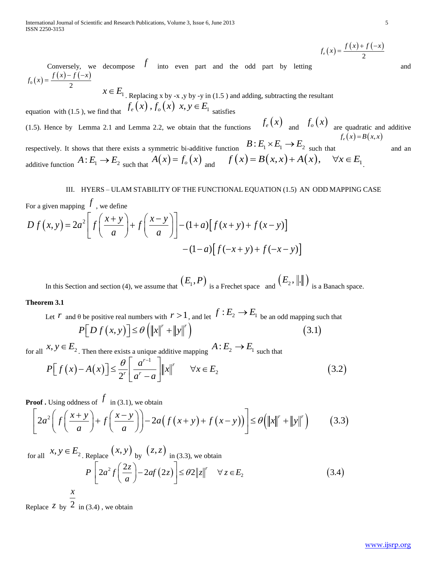$$
f_e(x) = \frac{f(x) + f(-x)}{2}
$$

Conversely, we decompose  $f$  into even part and the odd part by letting  $f(x) = \frac{f(x) - f(-x)}{2}$  $0(x) = \frac{2}{x}$ Conversely, we<br>  $f_0(x) = \frac{f(x) - f(-x)}{2}$ 

 $x \in E_1$ . Replacing x by -x ,y by -y in (1.5) and adding, subtracting the resultant

equation with (1.5), we find that  $f_e(x)$ ,  $f_o(x)$   $x, y \in E_1$  satisfies

(1.5). Hence by Lemma 2.1 and Lemma 2.2, we obtain that the functions  $f_e(x)$  and  $f_o(x)$  are quadratic and additive  $f_e(x) = B(x, x)$ 

respectively. It shows that there exists a symmetric bi-additive function  $B: E_1 \times E_1 \to E_2$  such that respectively. It shows that there exists a symmetric bi-additive function  $B: E_1 \times E_1 \to E_2$  such that additive function  $A: E_1 \to E_2$  such that  $A(x) = f_o(x)$  and  $f(x) = B(x, x) + A(x)$ ,  $\forall x \in E_1$ .

III. HYERS – ULAM STABILITY OF THE FUNCTIONAL EQUATION (1.5) AN ODD MAPPING CASE  
For a given mapping 
$$
\frac{f}{a}
$$
, we define  

$$
D f(x, y) = 2a^2 \left[ f\left(\frac{x+y}{a}\right) + f\left(\frac{x-y}{a}\right) \right] - (1+a) \left[ f(x+y) + f(x-y) \right]
$$

$$
-(1-a) \left[ f(-x+y) + f(-x-y) \right]
$$

In this Section and section (4), we assume that  $(E_1, P)$  is a Frechet space and  $(E_2, \|\cdot\|)$  is a Banach space.

# **Theorem 3.1**

Let *r* and  $\theta$  be positive real numbers with  $r > 1$ , and let  $f : E_2 \to E_1$  be an odd mapping such that on and section (4), we assume that  $(L_1, L_2)$  is a Frechet space and  $(L_2^2, ||\cdot||)$  is a<br> *P* be positive real numbers with  $r > 1$ , and let  $f : E_2 \to E_1$  be an odd mapping su<br>  $P[Df(x, y)] \leq \theta (||x||^r + ||y||^r)$  (3.1)  $P[Df(x, y)] \leq \theta \left( ||x||^r + ||y||^r \right)$ <br>  $y \in E_2$ . Then there exists a unique additive mapping  $A: E_2 \to E_1$  such<br>  $\left[ f(x) - A(x) \right] \leq \frac{\theta}{2^r} \left[ \frac{a^{r-1}}{a^r - a} \right] ||x||^r \quad \forall x \in E_2$ 

for all  $x, y \in E_2$ . Then there exists a unique additive mapping  $A: E_2 \to E_1$  such that

$$
P[Df(x, y)] \leq \theta \left( ||x||^r + ||y||^r \right)
$$
\n
$$
x, y \in E_2. \text{ Then there exists a unique additive mapping } A: E_2 \to E_1 \text{ such that}
$$
\n
$$
P[f(x) - A(x)] \leq \frac{\theta}{2^r} \left[ \frac{a^{r-1}}{a^r - a} \right] ||x||^r \quad \forall x \in E_2 \tag{3.2}
$$

**Proof** . Using oddness of  $f$  in (3.1), we obtain

$$
P[f(x) - A(x)] \le \frac{\theta}{2^r} \left[ \frac{a}{a^r - a} \right] ||x||^r \quad \forall x \in E_2
$$
\n(3.2)  
\nProof. Using oddness of  $f$  in (3.1), we obtain\n
$$
\left[ 2a^2 \left( f \left( \frac{x + y}{a} \right) + f \left( \frac{x - y}{a} \right) \right) - 2a \left( f (x + y) + f (x - y) \right) \right] \le \theta \left( ||x||^r + ||y||^r \right) \tag{3.3}
$$

$$
\left[2a^{2}\left(f\left(\frac{x+y}{a}\right)+f\left(\frac{x-y}{a}\right)\right)-2a\left(f(x+y)+f(x-y)\right)\right]\leq\theta\left(\left\|x\right\|^{r}+\left\|y\right\|^{r}\right) \qquad(3.3)
$$
\n
$$
\text{for all } x, y \in E_{2. \text{ Replace}}\left(x, y\right)_{\text{by}}(z, z)_{\text{ in (3.3), we obtain}}
$$
\n
$$
P\left[2a^{2}f\left(\frac{2z}{a}\right)-2af\left(2z\right)\right]\leq\theta 2\left\|z\right\|^{r} \quad \forall z \in E_{2} \qquad(3.4)
$$

Replace  $\frac{z}{y}$  by  $\frac{2}{y}$  in (3.4), we obtain

and

and an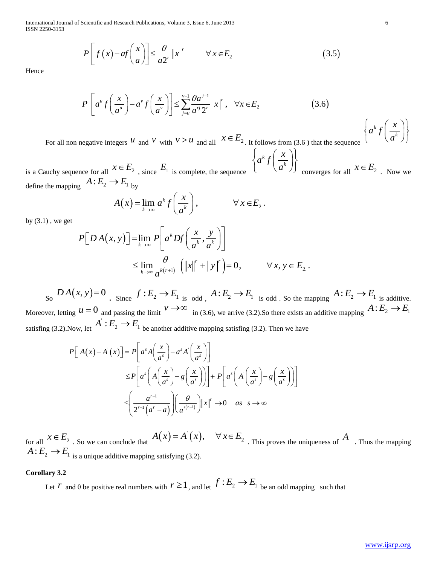International Journal of Scientific and Research Publications, Volume 3, Issue 6, June 2013 6 ISSN 2250-3153

Scientific and Research Publications, Volume 3, Issue 6, June 2013  
\n
$$
P\left[f\left(x\right) - af\left(\frac{x}{a}\right)\right] \le \frac{\theta}{a2^r} ||x||^r \qquad \forall x \in E_2 \tag{3.5}
$$

Hence

$$
P\left[f(x) - af\left(\frac{x}{a}\right)\right] \le \frac{U}{a2^r} \|x\|' \qquad \forall x \in E_2
$$
\n
$$
(3.5)
$$
\n
$$
P\left[a^u f\left(\frac{x}{a^u}\right) - a^v f\left(\frac{x}{a^v}\right)\right] \le \sum_{j=u}^{v-1} \frac{\theta a^{j-1}}{a^j 2^r} \|x\|', \quad \forall x \in E_2
$$
\n
$$
(3.6)
$$
\n
$$
\text{easure integers } u \text{ and } v \text{ with } v > u \text{ and all } x \in E_2 \text{ It follows from (3.6) that the sequence } \left\{a^k f\left(\frac{x}{a^k}\right)\right\}
$$

For all non negative integers  $u$  and  $v$  with  $v > u$  and all  $x \in E_2$ . It follows from (3.6) that the sequence

is a Cauchy sequence for all  $x \in E_2$ , since  $E_1$  is complete, the sequence  $A : E_2 \to E_1$  by<br>define the mapping  $A : E_2 \to E_1$  by  $A(x) = \lim_{k \to \infty} a^k f\left(\frac{x}{a^k}\right), \qquad \forall x \in E_2.$  $\binom{x}{x}$  $a^k f \Big| \frac{\lambda}{a^k}$  $\left\{ a^k f\left(\frac{x}{a^k}\right) \right\}$  converges for all  $x \in E_2$ . Now we define the mapping  $A: E_2 \to E_1$  by , since  $E_1$  is complete, the sequence  $(a^k)$ <br>y<br>=  $\lim_{k \to \infty} a^k f\left(\frac{x}{a^k}\right)$ ,  $\forall x \in E_2$ .

$$
A(x) = \lim_{k \to \infty} a^k f\left(\frac{x}{a^k}\right), \qquad \forall x \in E_2.
$$

by  $(3.1)$ , we get

$$
A: E_2 \to E_1
$$
  
\n
$$
A(x) = \lim_{k \to \infty} a^k f\left(\frac{x}{a^k}\right), \qquad \forall x \in E_2.
$$
  
\n
$$
P[DA(x, y)] = \lim_{k \to \infty} P\left[a^k Df\left(\frac{x}{a^k}, \frac{y}{a^k}\right)\right]
$$
  
\n
$$
\leq \lim_{k \to \infty} \frac{\theta}{a^{k(r+1)}} \left(\|x\|^r + \|y\|^r\right) = 0, \qquad \forall x, y \in E_2.
$$

 $\mathcal{L}_{\text{S}^{\text{O}}}$   $DA(x, y) = 0$   $\mathcal{L}_{\text{S}^{\text{S}}}$   $f: E_2 \to E_1$  is odd  $\mathcal{L}_{\text{S}^{\text{S}}}$   $A: E_2 \to E_1$  is additive. Moreover, letting  $u = 0$  and passing the limit  $v \to \infty$  in (3.6), we arrive (3.2). So there exists an additive mapping  $A: E_2 \to E_1$ satisfing (3.2).Now, let

$$
P\left[f(x)-af\left(\frac{x}{a}\right)\right] \leq \frac{y}{a^2}||x|| \qquad \forall x \in E_2
$$
\n(3.5)  
\n
$$
P\left[a^nf\left(\frac{x}{a^r}\right)-a^rf\left(\frac{x}{a^r}\right)\right] \leq \sum_{j=1}^{1/2} \frac{\partial a^{j+1}}{a^2}||x||, \quad \forall x \in E_2
$$
\n(3.6)  
\nnon negative integers *u* and *v* with  $v > u$  and all  $x \in E_2$ . It follows from (3.6) that the sequence  $\left\{a^kf\left(\frac{x}{a^k}\right)\right\}$   
\nquence for all  $x \in E_2$ , since *E\_1* is complete, the sequence  $\left\{a^kf\left(\frac{x}{a^k}\right)\right\}$  converges for all  $x \in E_2$ . Now we  
\nping  $A: E_2 \to E_1$  by  
\n
$$
A(x) = \lim_{k \to \infty} a^kf\left(\frac{x}{a^k}\right), \qquad \forall x \in E_2.
$$
\n
$$
P\left[D A(x, y)\right] = \lim_{k \to \infty} P\left[a^kf D\left(\frac{x}{a^k}, \frac{y}{a^k}\right)\right]
$$
\n
$$
\leq \lim_{k \to \infty} \frac{\theta}{a^{k(r+1)}} \left(\|x\|^{r} + \|y\|^{r}\right) = 0, \qquad \forall x, y \in E_2.
$$
\n
$$
A(x, y) = 0 \qquad \text{Since } f: E_2 \to E_1 \text{ is odd, } A: E_2 \to E_1 \text{ is odd, so the mapping  $A: E_2 \to E_1$  is additive mapping  
\nand  $u = 0$  and passing the limit  $v \to \infty$  in (3.6), we arrive (3.2). So there exists an additive mapping  $A: E_2 \to E_1$   
\nNow, let  $A^T: E_2 \to E_1$  be another additive mapping satisfying (3.2). Then we have  
\n
$$
P\left[A(x) - A^r(x)\right] = P\left[a^A \left(\frac{x}{a^r}\right) - a^r A\left(\frac{x}{a^r}\right)\right]
$$
\n
$$
\leq P\left
$$
$$

for all  $x \in E_2$ . So we can conclude that  $A(x) = A'(x)$  $A(x) = A'(x)$ ,  $\forall x \in E_2$ . This proves the uniqueness of  $A$ . Thus the mapping  $A: E_2 \longrightarrow E_1$  is a unique additive mapping satisfying (3.2).

# **Corollary 3.2**

Let *r* and  $\theta$  be positive real numbers with  $r \ge 1$ , and let  $f : E_2 \to E_1$  be an odd mapping such that

*k x*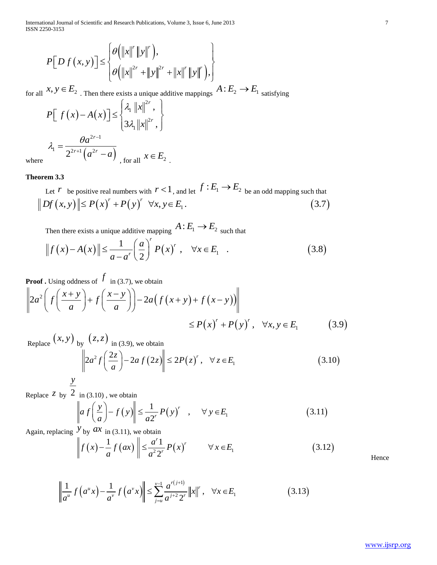International Journal of Scientific and Research Publications, Volume 3, Issue 6, June 2013<br> **ISSN** 2250-3153<br>  $\left[\theta(\|x\|^r \|y\|^r)\right]$ ISSN 2250-3153

International Journal of Scientific and Research Publications, Volume 3, Issue 6, June 2013

\nISSN 2250-3153

\n
$$
P[D f(x, y)] \leq \begin{cases} \n\theta \left( \|x\|^{r} \|y\|^{r} \right), \\ \n\theta \left( \|x\|^{2r} + \|y\|^{2r} + \|x\|^{r} \|y\|^{r} \right), \n\end{cases}
$$
\nfor all  $x, y \in E_2$ . Then there exists a unique additive mappings  $A : E_2 \to E_1$  satisfying

$$
\begin{aligned}\n\mathcal{L} \left[ \left( \left\| x \right\|^{2r} + \left\| y \right\|^{2r} + \left\| x \right\|^{r} \left\| y \right\|^{r} \right), \\
x, y \in E_2 \text{ . Then there exists a unique additive mapping} \\
P \left[ f(x) - A(x) \right] &\leq \begin{cases} \lambda_1 \left\| x \right\|^{2r}, \\ 3\lambda_1 \left\| x \right\|^{2r}, \end{cases} \\
\lambda_1 &= \frac{\theta a^{2r-1}}{2^{2r+1} \left( a^{2r} - a \right)} \text{ , for all } x \in E_2\n\end{aligned}
$$

where

# **Theorem 3.3**

Let *r* be positive real numbers with  $r < 1$ , and let  $f : E_1 \rightarrow E_2$  be an odd mapping such that 2  $(a - a)$ , for all  $x \in E_2$ .<br> **rem 3.3**<br>
Let  $r$  be positive real numbers with  $r < 1$ , and let  $f : E_1 \to E_2$  be an odd mapping such that<br>  $Df(x, y) \le P(x)^r + P(y)^r \quad \forall x, y \in E_1.$  (3.7)

Then there exists a unique additive mapping  $A: E_1 \rightarrow E_2$  such that

$$
Df(x, y) \| \le P(x)^r + P(y)^r \quad \forall x, y \in E_1.
$$
\n
$$
\text{Then there exists a unique additive mapping } A: E_1 \to E_2 \text{ such that}
$$
\n
$$
\|f(x) - A(x)\| \le \frac{1}{a - a^r} \left(\frac{a}{2}\right)^r P(x)^r, \quad \forall x \in E_1.
$$
\n
$$
(3.8)
$$

$$
P[Df(x, y)] \leq \begin{cases} \n\theta \left( ||x||^{2r} + ||y||^{2r} + ||x||^{r}||y|| \right) \n\end{cases}
$$
\nfor all  $x, y \in E_2$ . Then there exists a unique additive mapping  $A : E_2 \rightarrow E_1$  satisfying\n
$$
P\left[ f(x) - A(x) \right] \leq \begin{cases} \lambda, ||x||^{2r}, \\ 3, 4, ||x||^{2r}, \end{cases}
$$
\n
$$
\lambda_1 = \frac{\theta a^{2r-1}}{2^{2r-1}(a^{2r} - a)}, \text{ for all } x \in E_2
$$
\n**Theorem 3.3**\nLet  $r$  be positive real numbers with  $r < 1$ , and let  $f : E_1 \rightarrow E_2$  be an odd mapping such that\n
$$
||Df(x, y)|| \leq P(x) + P(y) \quad \forall x, y \in E_1. \tag{3.7}
$$
\nThen there exists a unique additive mapping  $A : E_1 \rightarrow E_2$  such that\n
$$
||f(x) - A(x)|| \leq \frac{1}{a-a} \left( \frac{a}{2} \right)^{2} P(x)^{r}, \quad \forall x \in E_1. \tag{3.8}
$$
\n**Proof.** Using oddness of  $f$  in (3.7), we obtain\n
$$
||2a^2 \left( f \left( \frac{x+y}{a} \right) + f \left( \frac{x-y}{a} \right) \right) - 2a \left( f(x+y) + f(x-y) \right) ||
$$
\n
$$
\leq P(x)^{r} + P(y)^{r}, \quad \forall x, y \in E_1 \tag{3.9}
$$
\nReplace  $(x, y)$  by  $(z, z)$  in (3.9), we obtain\n
$$
||2a^2 f \left( \frac{2z}{a} \right) - 2a f(zz) || \leq 2P(z)^{r}, \quad \forall z \in E_1 \tag{3.10}
$$
\nReplace  $z$  by  $\frac{2}{a}$  in (3.10), we obtain\n
$$
||f(x) - \frac{1}{a} f(ax) ||_{\infty} \leq \frac{1}{a^2 x} P(x)^{r} \quad \forall x \in E_1 \tag{3.11}
$$
\nAgain, replacing  $y$  by ax in (3.11), we obtain\n

$$
\| \quad \langle \quad \langle a \quad \rangle \quad \langle a \quad \rangle \rangle \le P(x)^{r} + P(y)^{r}, \quad \forall x, y \in E_1 \quad (3.9)
$$
\n
$$
\le P(x)^{r} + P(y)^{r}, \quad \forall x, y \in E_1 \quad (3.9)
$$
\n
$$
\|2a^2 f\left(\frac{2z}{a}\right) - 2af(2z)\| \le 2P(z)^{r}, \quad \forall z \in E_1 \quad (3.10)
$$

Replace *z* by 2 in (3.10) , we obtain

$$
\|2a^2 f\left(\frac{1}{a}\right) - 2af (2z)\| \le 2P(z) , \quad \forall z \in E_1
$$
\n(3.1)

\nin (3.10), we obtain

\n
$$
\|af\left(\frac{y}{a}\right) - f(y)\| \le \frac{1}{a2^r} P(y)^r , \quad \forall y \in E_1
$$
\ny by ax in (3.11), we obtain

\n
$$
\|f(x) - \frac{1}{a} f(ax)\| \le \frac{a^r 1}{a^2 2^r} P(x)^r \quad \forall x \in E_1
$$
\n(3.12)

Again, replacing  $\overline{y}_{\text{by}}$  *ax* in (3.11), we obtain

$$
\left\|f\left(x\right) - \frac{1}{a} f\left(ax\right)\right\| \leq \frac{a^r 1}{a^2 2^r} P\left(x\right)^r \qquad \forall x \in E_1 \tag{3.12}
$$

$$
\left\| f(x) - \frac{1}{a} f(ax) \right\| \le \frac{a}{a^2 2^r} P(x)^r \qquad \forall x \in E_1
$$
  

$$
\left\| \frac{1}{a^u} f(a^u x) - \frac{1}{a^v} f(a^v x) \right\| \le \sum_{j=u}^{v-1} \frac{a^{r(j+1)}}{a^{j+2} 2^r} \|x\|^r, \quad \forall x \in E_1
$$
 (3.13)

Hence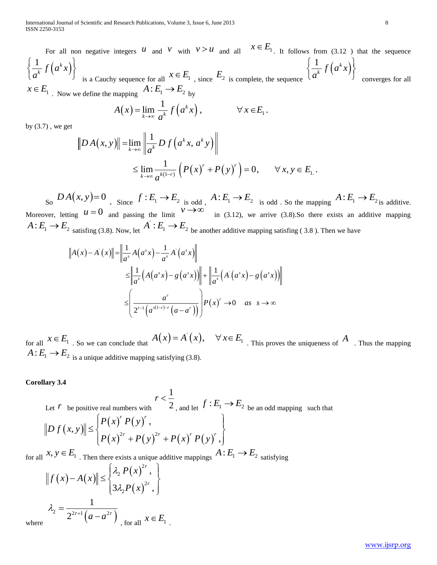For all non negative integers  $u$  and  $v$  with  $v > u$  and all  $x \in E_1$ . It follows from (3.12) that the sequence  $(a^k x)$  $1 \int f(x) dx$  $\int\limits_{k} f\left(a^{k}x\right)$  $\left\{\frac{1}{a^k}f\left(a^kx\right)\right\}$ is a Cauchy sequence for all  $x \in E_1$ , since  $E_2$  is complete, the sequence<br>define the mapping  $A: E_1 \to E_2$  by<br> $A(x) = \lim_{k \to \infty} \frac{1}{a^k} f(a^k x)$ ,  $\forall x \in E_1$ .  $(a^k x)$  $1 \int f(x) dx$  $\int\limits_{k} f\left(a^{k}x\right)$  $\left\{\frac{1}{a^k} f\left(a^k x\right)\right\}$  converges for all

$$
A(x) = \lim_{k \to \infty} \frac{1}{a^k} f(a^k x), \qquad \forall x \in E_1.
$$
  

$$
\mathcal{E} = \lim_{k \to \infty} \left\| \frac{1}{a^k} D f(a^k x, a^k y) \right\|
$$

by  $(3.7)$ , we get

$$
x \in E_1
$$
. Now we define the mapping  $A: E_1 \to E_2$  by  
\n
$$
A(x) = \lim_{k \to \infty} \frac{1}{a^k} f(a^k x), \qquad \forall x \in E_1.
$$
  
\nby (3.7), we get  
\n
$$
||DA(x, y)|| = \lim_{k \to \infty} \left\| \frac{1}{a^k} D f(a^k x, a^k y) \right\|
$$
  
\n
$$
\leq \lim_{k \to \infty} \frac{1}{a^{k(1-r)}} \left( P(x)^r + P(y)^r \right) = 0, \qquad \forall x, y \in E_1.
$$

 $\mathcal{L}_{\text{S}^{\text{O}}}$   $DA(x, y) = 0$   $\mathcal{L}_{\text{S}^{\text{S}}}$   $f: E_1 \to E_2$  is odd  $\mathcal{L}_{\text{S}^{\text{S}}}$   $A: E_1 \to E_2$  is odd . So the mapping  $A: E_1 \to E_2$  is additive. Moreover, letting  $u = 0$  and passing the limit  $v \rightarrow \infty$  in (3.12), we arrive (3.8).So there exists an additive mapping  $A: E_1 \rightarrow E_2$  satisfing (3.8). Now, let J and passing the limit in (3.12), we arrive (3.8).So there exists an a<br>
(3.8). Now, let  $A^{\dagger} : E_1 \to E_2$  be another additive mapping satisfing (3.8). Then we have<br>  $\|f(x)\| = \left\| \frac{1}{a^s} A(a^s x) - \frac{1}{a^s} A^{\dagger} (a^s x) \right\|$ 

2 satisfying (3.8). Now, let 
$$
A' : E_1 \to E_2
$$
 be another additive mapping satisfying (3.8).  
\n
$$
||A(x) - A'(x)|| = \left\| \frac{1}{a^s} A(a^s x) - \frac{1}{a^s} A'(a^s x) \right\|
$$
\n
$$
\leq \left\| \frac{1}{a^s} (A(a^s x) - g(a^s x)) \right\| + \left\| \frac{1}{a^s} (A'(a^s x) - g(a^s x)) \right\|
$$
\n
$$
\leq \left( \frac{a^r}{2^{r-1} (a^{s(1-r)-r} (a - a^r))} \right) P(x)^r \to 0 \quad \text{as} \quad s \to \infty
$$

for all  $x \in E_1$ . So we can conclude that  $A(x) = A'(x)$  $A(x) = A'(x)$ ,  $\forall x \in E_1$ . This proves the uniqueness of  $\overline{A}$ . Thus the mapping  $A: E_1 \longrightarrow E_2$  is a unique additive mapping satisfying (3.8).

#### **Corollary 3.4**

Corollary 3.4  
\nLet *r* be positive real numbers with\n
$$
\|D f(x, y)\| \leq \begin{cases}\nP(x)^{r} P(y)^{r}, \\
P(x)^{2r} + P(y)^{2r} + P(x)^{r} P(y)^{r},\n\end{cases}
$$
\nfor all  $x, y \in E_1$ . Then there exists a unique additive mappings\n
$$
A: E_1 \to E_2
$$
\nsatisfying\n
$$
\|f(x) - A(x)\| \leq \begin{cases}\n\lambda_2 P(x)^{2r}, \\
3\lambda_2 P(x)^{2r},\n\end{cases}
$$
\n
$$
\lambda_2 = \frac{1}{2^{2r+1} (a - a^{2r})} \quad x \in E_1
$$

where

 $a^2 = \frac{2^{2r+1}(a-a^{2r})}{2^{2r+1}(a-a^{2r})}$ 

-

, for all  $x \in E_1$ .

for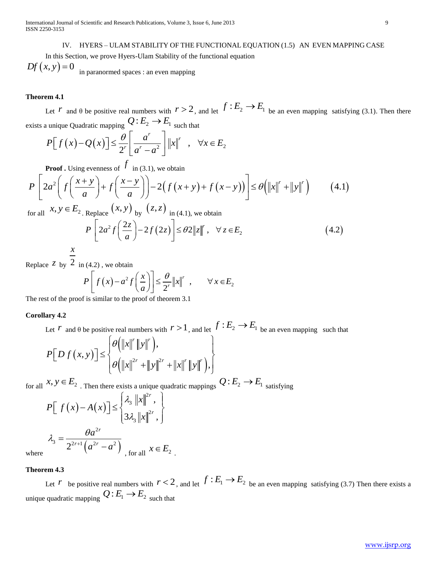International Journal of Scientific and Research Publications, Volume 3, Issue 6, June 2013 9 ISSN 2250-3153

IV. HYERS – ULAM STABILITY OF THE FUNCTIONAL EQUATION (1.5) AN EVEN MAPPING CASE

 In this Section, we prove Hyers-Ulam Stability of the functional equation  $Df(x, y) = 0$  in paranormed spaces : an even mapping

## **Theorem 4.1**

Let *r* and  $\theta$  be positive real numbers with  $r > 2$ , and let  $f : E_2 \to E_1$  be an even mapping satisfying (3.1). Then there exists a unique Quadratic mapping  $Q: E_2 \to E_1$  such that **Let** *f* and  $\theta$  be positive real numbers with  $r > 2$ , and let  $\theta$ <br> *x* unique Quadratic mapping  $Q: E_2 \rightarrow E_1$  such that<br>  $P[f(x)-Q(x)] \leq \frac{\theta}{2^r} \left[ \frac{a^r}{a^r - a^2} \right] ||x||^r$ ,  $\forall x \in E$ **4.1**<br>  $r$  and  $\theta$  be positive real numbers with  $r > 2$ , and let  $f : E_2 \to E_1$  be<br>
nique Quadratic mapping  $Q: E_2 \to E_1$  such that<br>  $\left[ f(x) - Q(x) \right] \le \frac{\theta}{2^r} \left[ \frac{a^r}{a^r - a^2} \right] ||x||^r$ ,  $\forall x \in E_2$ 

Let *r* and 
$$
\theta
$$
 be positive real numbers with  $r > 2$ , and let  $f$   
unique Quadratic mapping  $Q: E_2 \to E_1$  such that  

$$
P[f(x) - Q(x)] \leq \frac{\theta}{2^r} \left[ \frac{a^r}{a^r - a^2} \right] ||x||^r , \quad \forall x \in E_2
$$

**Proof .** Using evenness of  $f$  in (3.1), we obtain

$$
P[f(x) - Q(x)] \leq \frac{\theta}{2^{r}} \left[ \frac{a^{r}}{a^{r} - a^{2}} \right] ||x||^{r} , \quad \forall x \in E_{2}
$$
  
\n**Proof.** Using evenness of  $f$  in (3.1), we obtain  
\n
$$
P\left[ 2a^{2} \left( f\left(\frac{x+y}{a}\right) + f\left(\frac{x-y}{a}\right) \right) - 2\left( f(x+y) + f(x-y) \right) \right] \leq \theta \left( ||x||^{r} + ||y||^{r} \right) \qquad (4.1)
$$
  
\nfor all  $x, y \in E_{2}$ . Replace  $(x, y)$  by  $(z, z)$  in (4.1), we obtain  
\n
$$
P\left[ 2a^{2} f\left(\frac{2z}{a}\right) - 2f(2z) \right] \leq \theta 2 ||z||^{r}, \quad \forall z \in E_{2}
$$
\n
$$
x \qquad (4.2)
$$

Replace *z* by 2 in (4.2) , we obtain

$$
P\left[2a^{2}f\left(\frac{1}{a}\right)-2f(2z)\right] \leq \theta 2\|z\|, \quad \forall z \in E_{2}
$$
\n(4.2), we obtain

\n
$$
P\left[f(x)-a^{2}f\left(\frac{x}{a}\right)\right] \leq \frac{\theta}{2^{r}}\|x\|^{r}, \quad \forall x \in E_{2}
$$
\nis similar to the proof of theorem 3.1

The rest of the proof is similar to the proof of theorem 3.1

# **Corollary 4.2**

Let *r* and  $\theta$  be positive real numbers with  $r > 1$ , and let  $f : E_2 \to E_1$  be an even mapping such that  $x^r \parallel y \parallel^r$ 

t of the proof is similar to the proof of theorem 3.1  
\n
$$
\text{arg } 4.2
$$
\nLet  $r$  and  $\theta$  be positive real numbers with  $r > 1$ , and let  $f : E_2 \to E_1$  be a  
\n
$$
P[D f(x, y)] \le \begin{cases} \theta \left( ||x||^r ||y||^r \right), \\ \theta \left( ||x||^{2r} + ||y||^{2r} + ||x||^r ||y||^r \right), \end{cases}
$$
\n $x, y \in E_2 \to \infty$ 

$$
\left[\theta\left(\|x\|^{2r} + \|y\|^{2r} + \|x\|^{r}\|y\|^{r}\right),\right]
$$
\nfor all  $x, y \in E_2$ . Then there exists a unique quadratic mappings  $Q: E_2 \to E_1$  satisfying

\n
$$
P\left[f\left(x\right) - A\left(x\right)\right] \leq \begin{cases} \lambda_3 & \text{if } |x|^{2r}, \\ 3\lambda_3 & \text{if } |x|^{2r}, \end{cases}
$$
\n
$$
\lambda_3 = \frac{\theta a^{2r}}{2^{2r+1} \left(a^{2r} - a^2\right)} \text{ for all } x \in E_2
$$
\nwhere

where

# **Theorem 4.3**

Let *r* be positive real numbers with  $r < 2$ , and let  $f : E_1 \to E_2$  be an even mapping satisfying (3.7) Then there exists a unique quadratic mapping  $Q: E_1 \to E_2$  such that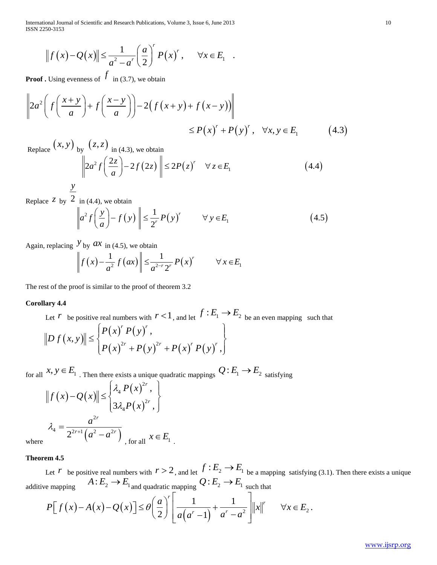International Journal of Scientific and Research Publications, Volume 3, Issue 6, June 2013 10 ISSN 2250-3153

onal Journal of Scientific and Research Publications, Volume 3, Issue 6, June 2013  
\n
$$
||f(x) - Q(x)|| \le \frac{1}{a^2 - a'} \left(\frac{a}{2}\right)^r P(x)^r, \quad \forall x \in E_1
$$

**Proof .** Using evenness of  $f$  in (3.7), we obtain

$$
||f(x) - Q(x)|| \le \frac{1}{a^2 - a^r} \left(\frac{a}{2}\right) P(x)^r, \quad \forall x \in E_1
$$
  
\n**Proof.** Using evenness of  $f$  in (3.7), we obtain\n
$$
\left\| 2a^2 \left( f\left(\frac{x+y}{a}\right) + f\left(\frac{x-y}{a}\right) \right) - 2\left( f(x+y) + f(x-y) \right) \right\|
$$
\n
$$
\le P(x)^r + P(y)^r, \quad \forall x, y \in E_1 \tag{4.3}
$$
\n
$$
(x, y) = (z, z)
$$

Replace  $(x, y)$  by  $(z, z)$  in (4.3), we obtain

$$
\begin{aligned}\n &\text{(z,z)}\\
 &\text{(z,z)}\\
 &\text{(a,3), we obtain} \\
 &\text{(a,3), we obtain} \\
 &\text{(a,4,4)}\\
 &\text{(a,4,5)}\\
 &\text{(b,4,6)}\\
 &\text{(c,5,6)}\\
 &\text{(d,4,6)}\\
 &\text{(d,4,6)}\\
 &\text{(d,4,6)}\\
 &\text{(d,4,6)}\\
 &\text{(d,4,6)}\\
 &\text{(d,4,6)}\\
 &\text{(d,4,6)}\\
 &\text{(d,4,6)}\\
 &\text{(d,4,6)}\\
 &\text{(d,4,6)}\\
 &\text{(d,4,6)}\\
 &\text{(d,4,6)}\\
 &\text{(d,4,6)}\\
 &\text{(d,4,6)}\\
 &\text{(d,4,6)}\\
 &\text{(d,4,6)}\\
 &\text{(d,4,6)}\\
 &\text{(d,4,6)}\\
 &\text{(d,4,6)}\\
 &\text{(d,4,6)}\\
 &\text{(d,4,6)}\\
 &\text{(d,4,6)}\\
 &\text{(d,4,6)}\\
 &\text{(d,4,6)}\\
 &\text{(d,4,6)}\\
 &\text{(d,4,6)}\\
 &\text{(d,4,6)}\\
 &\text{(d,4,6)}\\
 &\text{(d,4,6)}\\
 &\text{(d,4,6)}\\
 &\text{(d,4,6)}\\
 &\text{(d,4,6)}\\
 &\text{(d,4,6)}\\
 &\text{(d,4,6)}\\
 &\text{(d,4,6)}\\
 &\text{(d,4,6)}\\
 &\text{(d,4,6)}\\
 &\text{(d,4,6)}\\
 &\text{(d,4,6)}\\
 &\text{(d,4,6)}\\
 &\text{(d,4,6)}\\
 &\text{(d,4,6)}\\
 &\text{(d,4,6)}\\
 &\text{(d,4,6)}\\
 &\text{(d,4,6)}\\
 &\text{(d,4,6)}\\
 &\text{(d,4,6)}\\
 &\text{(d,4,6)}\\
 &\text{(d,4,6)}\\
 &\text{(d,4,6)}\\
 &\text{(d
$$

*y*

Replace  $z$  by  $2$ in (4.4), we obtain

$$
\|2a^2 f\left(\frac{1}{a}\right) - 2f(2z) \| \le 2P(z) \quad \forall z \in E_1
$$
\n
$$
\frac{y}{\left\|a^2 f\left(\frac{y}{a}\right) - f(y)\right\| \le \frac{1}{2^r} P(y)^r \quad \forall y \in E_1
$$
\n
$$
\text{Again, replacing } \frac{y}{\left\|f(x) - \frac{1}{a^2} f(ax)\right\| \le \frac{1}{a^{2-r} 2^r} P(x)^r \quad \forall x \in E_1
$$
\n
$$
\text{(4.5)}
$$

$$
\|a^{-}f\left(\frac{1}{a}\right) - f(y)\| \leq \frac{1}{2^{r}} P(y) \qquad \forall y \in E_1
$$
  

$$
y_{\text{by}} ax_{\text{in (4.5), we obtain}}
$$
  

$$
\left\|f(x) - \frac{1}{a^2} f(ax)\right\| \leq \frac{1}{a^{2-r}2^r} P(x)^r \qquad \forall x \in E_1
$$

The rest of the proof is similar to the proof of theorem 3.2

#### **Corollary 4.4**

(x)  $-Q(x) || \leq \frac{1}{a^2 - a^2} (\frac{y}{2}) P(x)$ ,  $\forall x \in E_1$ .<br>
The presentence of  $\vec{J}$  in (x), we obtain<br>  $\left[ 2r^2 \int_{0}^{x} f(x) dx \right] = 2 \left( f(x + y) + f(x - y) \right)$ <br>  $\leq P(x') + P(y)'$ ,  $\forall x, y \in E_1$  (4.3)<br>  $\therefore$   $\sum_{y_1} \left( \frac{2x}{a} \right) - 2f(2x) \right] < 2P$ Let *r* be positive real numbers with  $r < 1$ , and let  $f : E_1 \to E_2$  be an even mapping such that  $(x, y)$  $(x)' P(y)'$ I numbers with  $\ell > 1$ , and let  $\ell$ <br>  $(x)^r P(y)^r$ ,<br>  $(x)^{2r} + P(y)^{2r} + P(x)^r P(y)^r$ , .<br>, , mbers with  $\int_{r}^{r} P(y)$ <sup>r</sup> thers with  $P = r^r$ , and let  $P = P(y)^r$ ,<br> $P = P(y)^{2r} + P(x)^r P(y)^r$ *P P*  $(P(x)^r P(y)$ *x* **4.4**<br>*ct*  $r$  *be p*<br>*D f (x, y* real numbers with  $r < 1$ , and let  $f : P(x)^r P(y)^r$ ,<br> $P(x)^{2r} + P(y)^{2r} + P(x)^r P(y)^r$ s similar to the proof of theorem 3.2<br>tive real numbers with  $r < 1$ , and let  $f : E_1 \to E_2$  be an even ma<br> $\leq \begin{cases} P(x)^r P(y)^r, \\ P(x)^{2r} + P(y)^{2r} + P(x)^r P(y)^r, \end{cases}$ e real numbers with  $r < 1$ , and let  $f : E_1 \to E_2$  be an even map  $\begin{Bmatrix} P(x)' & P(y)' \end{Bmatrix}$ ,<br> $\begin{Bmatrix} P(x)^{r} + P(y)^{2r} + P(x)^{r} P(y)^{r} \end{Bmatrix}$ ,

for all  $x, y \in E_1$ . Then there exists a unique quadratic mappings  $Q: E_1 \to E_2$  satisfying  $\frac{p}{x}$ <br>*P*  $(x)$ 

$$
[P(x) + P(y) + P(x) P(x)]
$$
  
all  $x, y \in E_1$ . Then there exists a unique quadratic map  

$$
||f(x) - Q(x)|| \le \begin{cases} \lambda_4 P(x)^{2r}, \\ 3\lambda_4 P(x)^{2r}, \end{cases}
$$

$$
\lambda_4 = \frac{a^{2r}}{2^{2r+1}(a^2 - a^{2r})}, \text{ for all } x \in E_1
$$

where

#### **Theorem 4.5**

Let *r* be positive real numbers with  $r > 2$ , and let  $f : E_2 \to E_1$  be a mapping satisfying (3.1). Then there exists a unique additive mapping  $A: E_2 \to E_1$  and quadratic mapping  $Q: E_2 \to E_1$  such that let  $f: E_2 \to 2$ <br>  $\frac{1}{2} Q: E_2 \to 2$ <br>  $\frac{1}{2} \left( \frac{1}{2} + \frac{1}{2} \right)$ 

Let 
$$
r
$$
 be positive real numbers with  $r > 2$ , and let  $f: E_2 \to E_1$  be a mapping satisfying (3.1). The mapping  $A: E_2 \to E_1$  and quadratic mapping  $Q: E_2 \to E_1$  such that

\n $P[f(x) - A(x) - Q(x)] \leq \theta \left( \frac{a}{2} \right)^r \left[ \frac{1}{a(a^r - 1)} + \frac{1}{a^r - a^2} \right] \|x\| \quad \forall x \in E_2$ .